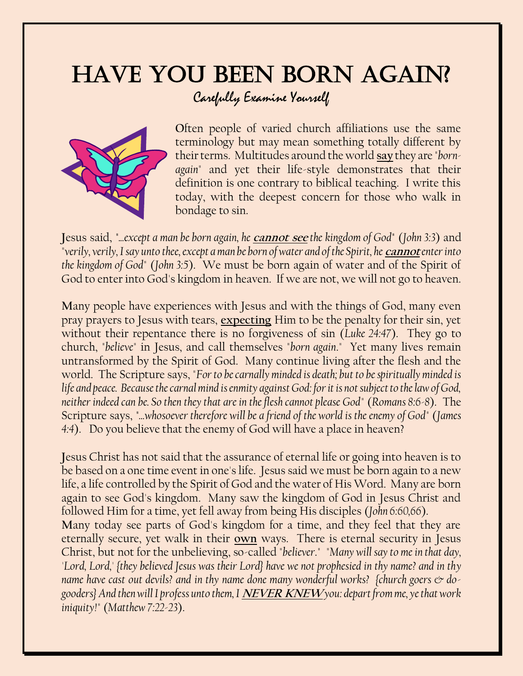## HAVE YOU BEEN BORN AGAIN? Carefully Examine Yourself



Often people of varied church affiliations use the same terminology but may mean something totally different by their terms. Multitudes around the world **say** they are "*bornagain*" and yet their life-style demonstrates that their definition is one contrary to biblical teaching. I write this today, with the deepest concern for those who walk in bondage to sin.

**J**esus said, *"...except a man be born again, he* **cannot see** *the kingdom of God"* (*John 3:3*) and "verily, verily, I say unto thee, except a man be born of water and of the Spirit, he *cannot* enter into *the kingdom of God*" (*John 3:5*). We must be born again of water and of the Spirit of God to enter into God's kingdom in heaven. If we are not, we will not go to heaven.

**M**any people have experiences with Jesus and with the things of God, many even pray prayers to Jesus with tears, **expecting** Him to be the penalty for their sin, yet without their repentance there is no forgiveness of sin (*Luke 24:47*). They go to church, "*believe*" in Jesus, and call themselves "*born again*." Yet many lives remain untransformed by the Spirit of God. Many continue living after the flesh and the world. The Scripture says, "*For to be carnally minded is death; but to be spiritually minded is life and peace. Because the carnal mind is enmity against God: for it is not subject to the law of God, neither indeed can be. So then they that are in the flesh cannot please God*" (*Romans 8:6-8*). The Scripture says, *"...whosoever therefore will be a friend of the world is the enemy of God*" (*James 4:4*). Do you believe that the enemy of God will have a place in heaven?

**J**esus Christ has not said that the assurance of eternal life or going into heaven is to be based on a one time event in one's life. Jesus said we must be born again to a new life, a life controlled by the Spirit of God and the water of His Word. Many are born again to see God's kingdom. Many saw the kingdom of God in Jesus Christ and followed Him for a time, yet fell away from being His disciples (*John 6:60,66*). **M**any today see parts of God's kingdom for a time, and they feel that they are eternally secure, yet walk in their **own** ways. There is eternal security in Jesus Christ, but not for the unbelieving, so-called "*believer*." "*Many will say to me in that day, 'Lord, Lord,' {they believed Jesus was their Lord} have we not prophesied in thy name? and in thy name have cast out devils? and in thy name done many wonderful works? {church goers*  $\circledcirc$  *dogooders} And then will I profess unto them, I* **NEVER KNEW***you: depart from me, ye that work iniquity!*" (*Matthew 7:22-23*).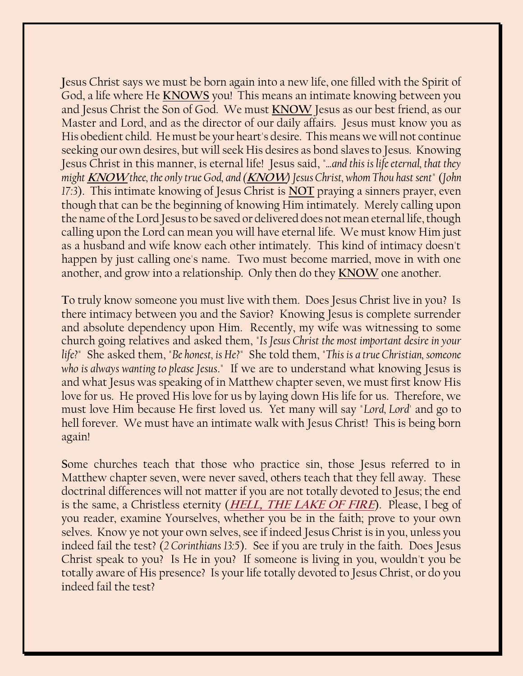**J**esus Christ says we must be born again into a new life, one filled with the Spirit of God, a life where He **KNOWS** you! This means an intimate knowing between you and Jesus Christ the Son of God. We must **KNOW** Jesus as our best friend, as our Master and Lord, and as the director of our daily affairs. Jesus must know you as His obedient child. He must be your heart's desire. This means we will not continue seeking our own desires, but will seek His desires as bond slaves to Jesus. Knowing Jesus Christ in this manner, is eternal life! Jesus said, "*...and this is life eternal, that they might* **KNOW***thee, the only true God, and (***KNOW***) Jesus Christ, whom Thou hast sent*" (*John 17:3*). This intimate knowing of Jesus Christ is **NOT** praying a sinners prayer, even though that can be the beginning of knowing Him intimately. Merely calling upon the name of the Lord Jesus to be saved or delivered does not mean eternal life, though calling upon the Lord can mean you will have eternal life. We must know Him just as a husband and wife know each other intimately. This kind of intimacy doesn't happen by just calling one's name. Two must become married, move in with one another, and grow into a relationship. Only then do they **KNOW** one another.

**T**o truly know someone you must live with them. Does Jesus Christ live in you? Is there intimacy between you and the Savior? Knowing Jesus is complete surrender and absolute dependency upon Him. Recently, my wife was witnessing to some church going relatives and asked them, "*Is Jesus Christ the most important desire in your life?*" She asked them, "*Be honest, is He?*" She told them, "*This is a true Christian, someone who is always wanting to please Jesus*." If we are to understand what knowing Jesus is and what Jesus was speaking of in Matthew chapter seven, we must first know His love for us. He proved His love for us by laying down His life for us. Therefore, we must love Him because He first loved us. Yet many will say "*Lord, Lord*' and go to hell forever. We must have an intimate walk with Jesus Christ! This is being born again!

**S**ome churches teach that those who practice sin, those Jesus referred to in Matthew chapter seven, were never saved, others teach that they fell away. These doctrinal differences will not matter if you are not totally devoted to Jesus; the end is the same, a Christless eternity (**[HELL, THE LAKE OF FIRE](https://www.consumingfirefellowship.org/hell)**). Please, I beg of you reader, examine Yourselves, whether you be in the faith; prove to your own selves. Know ye not your own selves, see if indeed Jesus Christ is in you, unless you indeed fail the test? (*2 Corinthians 13:5*). See if you are truly in the faith. Does Jesus Christ speak to you? Is He in you? If someone is living in you, wouldn't you be totally aware of His presence? Is your life totally devoted to Jesus Christ, or do you indeed fail the test?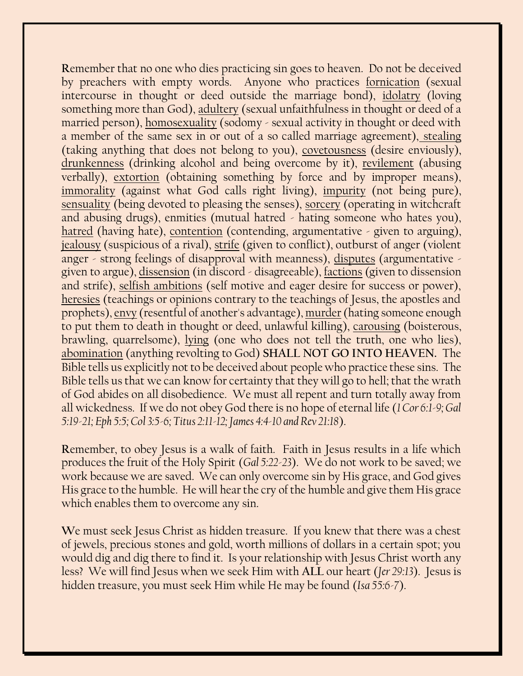**R**emember that no one who dies practicing sin goes to heaven. Do not be deceived by preachers with empty words. Anyone who practices fornication (sexual intercourse in thought or deed outside the marriage bond), idolatry (loving something more than God), adultery (sexual unfaithfulness in thought or deed of a married person), homosexuality (sodomy - sexual activity in thought or deed with a member of the same sex in or out of a so called marriage agreement), stealing (taking anything that does not belong to you), covetousness (desire enviously), drunkenness (drinking alcohol and being overcome by it), revilement (abusing verbally), extortion (obtaining something by force and by improper means), immorality (against what God calls right living), impurity (not being pure), sensuality (being devoted to pleasing the senses), sorcery (operating in witchcraft and abusing drugs), enmities (mutual hatred - hating someone who hates you), hatred (having hate), contention (contending, argumentative - given to arguing), jealousy (suspicious of a rival), strife (given to conflict), outburst of anger (violent anger - strong feelings of disapproval with meanness), disputes (argumentative given to argue), dissension (in discord - disagreeable), factions (given to dissension and strife), selfish ambitions (self motive and eager desire for success or power), heresies (teachings or opinions contrary to the teachings of Jesus, the apostles and prophets), envy (resentful of another's advantage), murder(hating someone enough to put them to death in thought or deed, unlawful killing), carousing (boisterous, brawling, quarrelsome), lying (one who does not tell the truth, one who lies), abomination (anything revolting to God) **SHALL NOT GO INTO HEAVEN.** The Bible tells us explicitly not to be deceived about people who practice these sins. The Bible tells us that we can know for certainty that they will go to hell; that the wrath of God abides on all disobedience. We must all repent and turn totally away from all wickedness. If we do not obey God there is no hope of eternal life (*1 Cor 6:1-9; Gal 5:19-21; Eph 5:5; Col 3:5-6; Titus 2:11-12; James 4:4-10 and Rev 21:18*).

**R**emember, to obey Jesus is a walk of faith. Faith in Jesus results in a life which produces the fruit of the Holy Spirit (*Gal 5:22-23*). We do not work to be saved; we work because we are saved. We can only overcome sin by His grace, and God gives His grace to the humble. He will hear the cry of the humble and give them His grace which enables them to overcome any sin.

**W**e must seek Jesus Christ as hidden treasure. If you knew that there was a chest of jewels, precious stones and gold, worth millions of dollars in a certain spot; you would dig and dig there to find it. Is your relationship with Jesus Christ worth any less? We will find Jesus when we seek Him with **ALL** our heart (*Jer 29:13*). Jesus is hidden treasure, you must seek Him while He may be found (*Isa 55:6-7*).